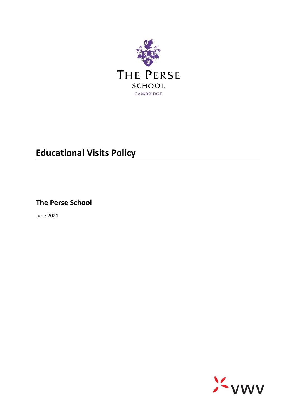

# **Educational Visits Policy**

**The Perse School**

June 2021

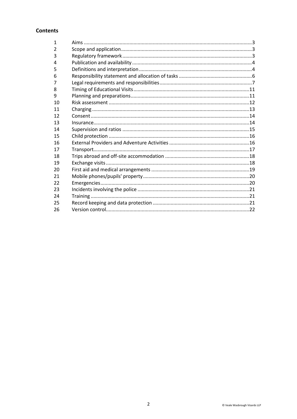# **Contents**

| $\mathbf{1}$   |  |
|----------------|--|
| $\overline{2}$ |  |
| 3              |  |
| 4              |  |
| 5              |  |
| 6              |  |
| 7              |  |
| 8              |  |
| 9              |  |
| 10             |  |
| 11             |  |
| 12             |  |
| 13             |  |
| 14             |  |
| 15             |  |
| 16             |  |
| 17             |  |
| 18             |  |
| 19             |  |
| 20             |  |
| 21             |  |
| 22             |  |
| 23             |  |
| 24             |  |
| 25             |  |
| 26             |  |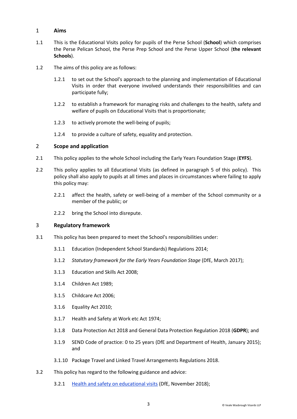# <span id="page-2-0"></span>1 **Aims**

- <span id="page-2-3"></span>1.1 This is the Educational Visits policy for pupils of the Perse School (**School**) which comprises the Perse Pelican School, the Perse Prep School and the Perse Upper School (**the relevant Schools**).
- 1.2 The aims of this policy are as follows:
	- 1.2.1 to set out the School's approach to the planning and implementation of Educational Visits in order that everyone involved understands their responsibilities and can participate fully;
	- 1.2.2 to establish a framework for managing risks and challenges to the health, safety and welfare of pupils on Educational Visits that is proportionate;
	- 1.2.3 to actively promote the well-being of pupils;
	- 1.2.4 to provide a culture of safety, equality and protection.

# <span id="page-2-1"></span>2 **Scope and application**

- 2.1 This policy applies to the whole School including the Early Years Foundation Stage (**EYFS**).
- 2.2 This policy applies to all Educational Visits (as defined in paragraph 5 of this policy). This policy shall also apply to pupils at all times and places in circumstances where failing to apply this policy may:
	- 2.2.1 affect the health, safety or well-being of a member of the School community or a member of the public; or
	- 2.2.2 bring the School into disrepute.

#### <span id="page-2-2"></span>3 **Regulatory framework**

- 3.1 This policy has been prepared to meet the School's responsibilities under:
	- 3.1.1 Education (Independent School Standards) Regulations 2014;
	- 3.1.2 *Statutory framework for the Early Years Foundation Stage* (DfE, March 2017);
	- 3.1.3 Education and Skills Act 2008;
	- 3.1.4 Children Act 1989;
	- 3.1.5 Childcare Act 2006;
	- 3.1.6 Equality Act 2010;
	- 3.1.7 Health and Safety at Work etc Act 1974;
	- 3.1.8 Data Protection Act 2018 and General Data Protection Regulation 2018 (**GDPR**); and
	- 3.1.9 SEND Code of practice: 0 to 25 years (DfE and Department of Health, January 2015); and
	- 3.1.10 Package Travel and Linked Travel Arrangements Regulations 2018.
- 3.2 This policy has regard to the following guidance and advice:
	- 3.2.1 [Health and safety on educational visits](https://www.gov.uk/government/publications/health-and-safety-on-educational-visits/health-and-safety-on-educational-visits) (DfE, November 2018);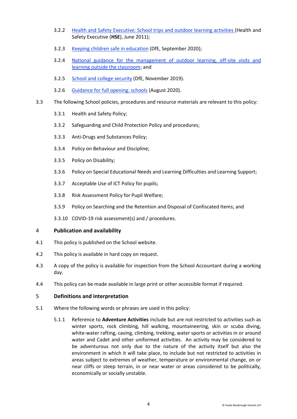- 3.2.2 [Health and Safety Executive: School trips and outdoor learning activities](http://www.hse.gov.uk/services/education/school-trips.pdf) (Health and Safety Executive (**HSE**), June 2011);
- 3.2.3 [Keeping children safe in education](https://assets.publishing.service.gov.uk/government/uploads/system/uploads/attachment_data/file/835733/Keeping_children_safe_in_education_2019.pdf) (DfE, September 2020);
- 3.2.4 [National guidance for the management of outdoor learning, off-site visits and](https://oeapng.info/)  [learning outside the classroom;](https://oeapng.info/) and
- 3.2.5 [School and college security](https://www.gov.uk/government/publications/school-and-college-security/school-and-college-security) (DfE, November 2019).
- 3.2.6 [Guidance for full opening: schools](https://www.gov.uk/government/publications/actions-for-schools-during-the-coronavirus-outbreak/guidance-for-full-opening-schools) (August 2020).
- 3.3 The following School policies, procedures and resource materials are relevant to this policy:
	- 3.3.1 Health and Safety Policy;
	- 3.3.2 Safeguarding and Child Protection Policy and procedures;
	- 3.3.3 Anti-Drugs and Substances Policy;
	- 3.3.4 Policy on Behaviour and Discipline;
	- 3.3.5 Policy on Disability;
	- 3.3.6 Policy on Special Educational Needs and Learning Difficulties and Learning Support;
	- 3.3.7 Acceptable Use of ICT Policy for pupils;
	- 3.3.8 Risk Assessment Policy for Pupil Welfare;
	- 3.3.9 Policy on Searching and the Retention and Disposal of Confiscated Items; and
	- 3.3.10 COVID-19 risk assessment(s) and / procedures.

#### <span id="page-3-0"></span>4 **Publication and availability**

- 4.1 This policy is published on the School website.
- 4.2 This policy is available in hard copy on request.
- 4.3 A copy of the policy is available for inspection from the School Accountant during a working day.
- 4.4 This policy can be made available in large print or other accessible format if required.

#### <span id="page-3-1"></span>5 **Definitions and interpretation**

- 5.1 Where the following words or phrases are used in this policy:
	- 5.1.1 Reference to **Adventure Activities** include but are not restricted to activities such as winter sports, rock climbing, hill walking, mountaineering, skin or scuba diving, white-water rafting, caving, climbing, trekking, water sports or activities in or around water and Cadet and other uniformed activities. An activity may be considered to be adventurous not only due to the nature of the activity itself but also the environment in which it will take place, to include but not restricted to activities in areas subject to extremes of weather, temperature or environmental change, on or near cliffs or steep terrain, in or near water or areas considered to be politically, economically or socially unstable.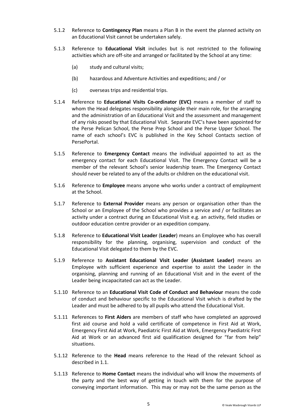- 5.1.2 Reference to **Contingency Plan** means a Plan B in the event the planned activity on an Educational Visit cannot be undertaken safely.
- 5.1.3 Reference to **Educational Visit** includes but is not restricted to the following activities which are off-site and arranged or facilitated by the School at any time:
	- (a) study and cultural visits;
	- (b) hazardous and Adventure Activities and expeditions; and / or
	- (c) overseas trips and residential trips.
- 5.1.4 Reference to **Educational Visits Co-ordinator (EVC)** means a member of staff to whom the Head delegates responsibility alongside their main role, for the arranging and the administration of an Educational Visit and the assessment and management of any risks posed by that Educational Visit. Separate EVC's have been appointed for the Perse Pelican School, the Perse Prep School and the Perse Upper School. The name of each school's EVC is published in the Key School Contacts section of PersePortal.
- 5.1.5 Reference to **Emergency Contact** means the individual appointed to act as the emergency contact for each Educational Visit. The Emergency Contact will be a member of the relevant School's senior leadership team. The Emergency Contact should never be related to any of the adults or children on the educational visit.
- 5.1.6 Reference to **Employee** means anyone who works under a contract of employment at the School.
- 5.1.7 Reference to **External Provider** means any person or organisation other than the School or an Employee of the School who provides a service and / or facilitates an activity under a contract during an Educational Visit e.g. an activity, field studies or outdoor education centre provider or an expedition company.
- 5.1.8 Reference to **Educational Visit Leader** (**Leader**) means an Employee who has overall responsibility for the planning, organising, supervision and conduct of the Educational Visit delegated to them by the EVC.
- 5.1.9 Reference to **Assistant Educational Visit Leader (Assistant Leader)** means an Employee with sufficient experience and expertise to assist the Leader in the organising, planning and running of an Educational Visit and in the event of the Leader being incapacitated can act as the Leader.
- 5.1.10 Reference to an **Educational Visit Code of Conduct and Behaviour** means the code of conduct and behaviour specific to the Educational Visit which is drafted by the Leader and must be adhered to by all pupils who attend the Educational Visit.
- 5.1.11 References to **First Aiders** are members of staff who have completed an approved first aid course and hold a valid certificate of competence in First Aid at Work, Emergency First Aid at Work, Paediatric First Aid at Work, Emergency Paediatric First Aid at Work or an advanced first aid qualification designed for "far from help" situations.
- 5.1.12 Reference to the **Head** means reference to the Head of the relevant School as described in [1.1.](#page-2-3)
- 5.1.13 Reference to **Home Contact** means the individual who will know the movements of the party and the best way of getting in touch with them for the purpose of conveying important information. This may or may not be the same person as the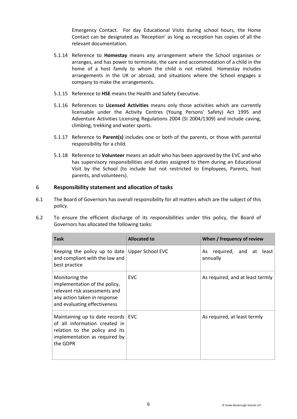Emergency Contact. For day Educational Visits during school hours, the Home Contact can be designated as 'Reception' as long as reception has copies of all the relevant documentation.

- 5.1.14 Reference to **Homestay** means any arrangement where the School organises or arranges, and has power to terminate, the care and accommodation of a child in the home of a host family to whom the child is not related. Homestay includes arrangements in the UK or abroad, and situations where the School engages a company to make the arrangements.
- 5.1.15 Reference to **HSE** means the Health and Safety Executive.
- 5.1.16 References to **Licensed Activities** means only those activities which are currently licensable under the Activity Centres (Young Persons' Safety) Act 1995 and Adventure Activities Licensing Regulations 2004 (SI 2004/1309) and include caving, climbing, trekking and water sports.
- 5.1.17 Reference to **Parent(s)** includes one or both of the parents, or those with parental responsibility for a child.
- 5.1.18 Reference to **Volunteer** means an adult who has been approved by the EVC and who has supervisory responsibilities and duties assigned to them during an Educational Visit by the School (to include but not restricted to Employees, Parents, host parents, and volunteers).

# <span id="page-5-0"></span>6 **Responsibility statement and allocation of tasks**

6.1 The Board of Governors has overall responsibility for all matters which are the subject of this policy.

| <b>Task</b>                                                                                                                                          | <b>Allocated to</b> | When / frequency of review               |  |
|------------------------------------------------------------------------------------------------------------------------------------------------------|---------------------|------------------------------------------|--|
| Keeping the policy up to date Upper School EVC<br>and compliant with the law and<br>best practice                                                    |                     | required, and at least<br>As<br>annually |  |
| Monitoring the<br>implementation of the policy,<br>relevant risk assessments and<br>any action taken in response<br>and evaluating effectiveness     | <b>EVC</b>          | As required, and at least termly         |  |
| Maintaining up to date records   EVC<br>of all information created in<br>relation to the policy and its<br>implementation as required by<br>the GDPR |                     | As required, at least termly             |  |

6.2 To ensure the efficient discharge of its responsibilities under this policy, the Board of Governors has allocated the following tasks: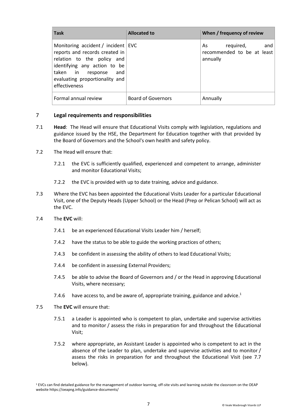| <b>Task</b>                                                                                                                                                                                                    | <b>Allocated to</b>       | When / frequency of review                                    |
|----------------------------------------------------------------------------------------------------------------------------------------------------------------------------------------------------------------|---------------------------|---------------------------------------------------------------|
| Monitoring accident / incident EVC<br>reports and records created in<br>relation to the policy and<br>identifying any action to be<br>taken in response and<br>evaluating proportionality and<br>effectiveness |                           | required, and<br>As<br>recommended to be at least<br>annually |
| Formal annual review                                                                                                                                                                                           | <b>Board of Governors</b> | Annually                                                      |

# <span id="page-6-0"></span>7 **Legal requirements and responsibilities**

- 7.1 **Head**: The Head will ensure that Educational Visits comply with legislation, regulations and guidance issued by the HSE, the Department for Education together with that provided by the Board of Governors and the School's own health and safety policy.
- 7.2 The Head will ensure that:
	- 7.2.1 the EVC is sufficiently qualified, experienced and competent to arrange, administer and monitor Educational Visits;
	- 7.2.2 the EVC is provided with up to date training, advice and guidance.
- 7.3 Where the EVC has been appointed the Educational Visits Leader for a particular Educational Visit, one of the Deputy Heads (Upper School) or the Head (Prep or Pelican School) will act as the EVC.
- 7.4 The **EVC** will:
	- 7.4.1 be an experienced Educational Visits Leader him / herself;
	- 7.4.2 have the status to be able to guide the working practices of others;
	- 7.4.3 be confident in assessing the ability of others to lead Educational Visits;
	- 7.4.4 be confident in assessing External Providers;
	- 7.4.5 be able to advise the Board of Governors and / or the Head in approving Educational Visits, where necessary;
	- 7.4.6 have access to, and be aware of, appropriate training, guidance and advice.<sup>1</sup>
- 7.5 The **EVC** will ensure that:
	- 7.5.1 a Leader is appointed who is competent to plan, undertake and supervise activities and to monitor / assess the risks in preparation for and throughout the Educational Visit;
	- 7.5.2 where appropriate, an Assistant Leader is appointed who is competent to act in the absence of the Leader to plan, undertake and supervise activities and to monitor / assess the risks in preparation for and throughout the Educational Visit (see [7.7](#page-8-0) below).

<sup>&</sup>lt;sup>1</sup> EVCs can find detailed guidance for the management of outdoor learning, off-site visits and learning outside the classroom on the OEAP website https://oeapng.info/guidance-documents/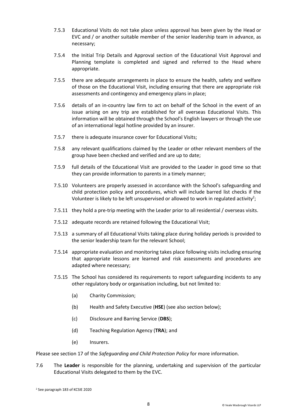- 7.5.3 Educational Visits do not take place unless approval has been given by the Head or EVC and / or another suitable member of the senior leadership team in advance, as necessary;
- 7.5.4 the Initial Trip Details and Approval section of the Educational Visit Approval and Planning template is completed and signed and referred to the Head where appropriate.
- 7.5.5 there are adequate arrangements in place to ensure the health, safety and welfare of those on the Educational Visit, including ensuring that there are appropriate risk assessments and contingency and emergency plans in place;
- 7.5.6 details of an in-country law firm to act on behalf of the School in the event of an issue arising on any trip are established for all overseas Educational Visits. This information will be obtained through the School's English lawyers or through the use of an international legal hotline provided by an insurer.
- 7.5.7 there is adequate insurance cover for Educational Visits;
- 7.5.8 any relevant qualifications claimed by the Leader or other relevant members of the group have been checked and verified and are up to date;
- 7.5.9 full details of the Educational Visit are provided to the Leader in good time so that they can provide information to parents in a timely manner;
- 7.5.10 Volunteers are properly assessed in accordance with the School's safeguarding and child protection policy and procedures, which will include barred list checks if the Volunteer is likely to be left unsupervised or allowed to work in regulated activity<sup>2</sup>;
- 7.5.11 they hold a pre-trip meeting with the Leader prior to all residential / overseas visits.
- 7.5.12 adequate records are retained following the Educational Visit;
- 7.5.13 a summary of all Educational Visits taking place during holiday periods is provided to the senior leadership team for the relevant School;
- 7.5.14 appropriate evaluation and monitoring takes place following visits including ensuring that appropriate lessons are learned and risk assessments and procedures are adapted where necessary;
- 7.5.15 The School has considered its requirements to report safeguarding incidents to any other regulatory body or organisation including, but not limited to:
	- (a) Charity Commission;
	- (b) Health and Safety Executive (**HSE**) (see also section below);
	- (c) Disclosure and Barring Service (**DBS**);
	- (d) Teaching Regulation Agency (**TRA**); and
	- (e) Insurers.

Please see section 17 of the *Safeguarding and Child Protection Policy* for more information.

7.6 The **Leader** is responsible for the planning, undertaking and supervision of the particular Educational Visits delegated to them by the EVC.

<sup>2</sup> See paragraph 183 of KCSIE 2020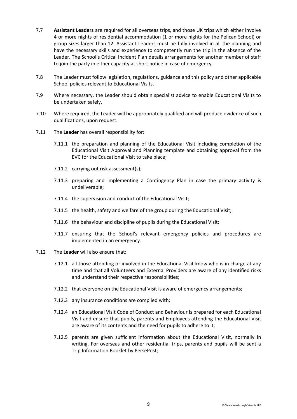- <span id="page-8-0"></span>7.7 **Assistant Leaders** are required for all overseas trips, and those UK trips which either involve 4 or more nights of residential accommodation (1 or more nights for the Pelican School) or group sizes larger than 12. Assistant Leaders must be fully involved in all the planning and have the necessary skills and experience to competently run the trip in the absence of the Leader. The School's Critical Incident Plan details arrangements for another member of staff to join the party in either capacity at short notice in case of emergency.
- 7.8 The Leader must follow legislation, regulations, guidance and this policy and other applicable School policies relevant to Educational Visits.
- 7.9 Where necessary, the Leader should obtain specialist advice to enable Educational Visits to be undertaken safely.
- 7.10 Where required, the Leader will be appropriately qualified and will produce evidence of such qualifications, upon request.
- 7.11 The **Leader** has overall responsibility for:
	- 7.11.1 the preparation and planning of the Educational Visit including completion of the Educational Visit Approval and Planning template and obtaining approval from the EVC for the Educational Visit to take place;
	- 7.11.2 carrying out risk assessment(s);
	- 7.11.3 preparing and implementing a Contingency Plan in case the primary activity is undeliverable;
	- 7.11.4 the supervision and conduct of the Educational Visit;
	- 7.11.5 the health, safety and welfare of the group during the Educational Visit;
	- 7.11.6 the behaviour and discipline of pupils during the Educational Visit;
	- 7.11.7 ensuring that the School's relevant emergency policies and procedures are implemented in an emergency.
- 7.12 The **Leader** will also ensure that:
	- 7.12.1 all those attending or involved in the Educational Visit know who is in charge at any time and that all Volunteers and External Providers are aware of any identified risks and understand their respective responsibilities;
	- 7.12.2 that everyone on the Educational Visit is aware of emergency arrangements;
	- 7.12.3 any insurance conditions are complied with;
	- 7.12.4 an Educational Visit Code of Conduct and Behaviour is prepared for each Educational Visit and ensure that pupils, parents and Employees attending the Educational Visit are aware of its contents and the need for pupils to adhere to it;
	- 7.12.5 parents are given sufficient information about the Educational Visit, normally in writing. For overseas and other residential trips, parents and pupils will be sent a Trip Information Booklet by PersePost;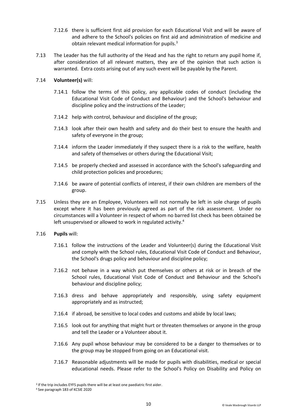- 7.12.6 there is sufficient first aid provision for each Educational Visit and will be aware of and adhere to the School's policies on first aid and administration of medicine and obtain relevant medical information for pupils. 3
- 7.13 The Leader has the full authority of the Head and has the right to return any pupil home if, after consideration of all relevant matters, they are of the opinion that such action is warranted. Extra costs arising out of any such event will be payable by the Parent.

# 7.14 **Volunteer(s)** will:

- 7.14.1 follow the terms of this policy, any applicable codes of conduct (including the Educational Visit Code of Conduct and Behaviour) and the School's behaviour and discipline policy and the instructions of the Leader;
- 7.14.2 help with control, behaviour and discipline of the group;
- 7.14.3 look after their own health and safety and do their best to ensure the health and safety of everyone in the group;
- 7.14.4 inform the Leader immediately if they suspect there is a risk to the welfare, health and safety of themselves or others during the Educational Visit;
- 7.14.5 be properly checked and assessed in accordance with the School's safeguarding and child protection policies and procedures;
- 7.14.6 be aware of potential conflicts of interest, if their own children are members of the group.
- 7.15 Unless they are an Employee, Volunteers will not normally be left in sole charge of pupils except where it has been previously agreed as part of the risk assessment. Under no circumstances will a Volunteer in respect of whom no barred list check has been obtained be left unsupervised or allowed to work in regulated activity.<sup>4</sup>
- 7.16 **Pupils** will:
	- 7.16.1 follow the instructions of the Leader and Volunteer(s) during the Educational Visit and comply with the School rules, Educational Visit Code of Conduct and Behaviour, the School's drugs policy and behaviour and discipline policy;
	- 7.16.2 not behave in a way which put themselves or others at risk or in breach of the School rules, Educational Visit Code of Conduct and Behaviour and the School's behaviour and discipline policy;
	- 7.16.3 dress and behave appropriately and responsibly, using safety equipment appropriately and as instructed;
	- 7.16.4 if abroad, be sensitive to local codes and customs and abide by local laws;
	- 7.16.5 look out for anything that might hurt or threaten themselves or anyone in the group and tell the Leader or a Volunteer about it.
	- 7.16.6 Any pupil whose behaviour may be considered to be a danger to themselves or to the group may be stopped from going on an Educational visit.
	- 7.16.7 Reasonable adjustments will be made for pupils with disabilities, medical or special educational needs. Please refer to the School's Policy on Disability and Policy on

<sup>&</sup>lt;sup>3</sup> If the trip includes EYFS pupils there will be at least one paediatric first aider.

<sup>4</sup> See paragraph 183 of KCSIE 2020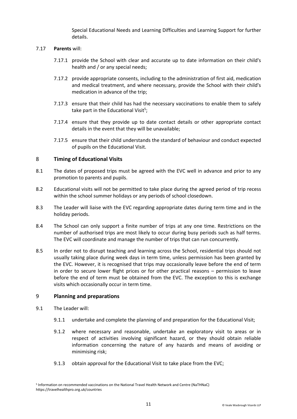Special Educational Needs and Learning Difficulties and Learning Support for further details.

# 7.17 **Parents** will:

- 7.17.1 provide the School with clear and accurate up to date information on their child's health and / or any special needs;
- 7.17.2 provide appropriate consents, including to the administration of first aid, medication and medical treatment, and where necessary, provide the School with their child's medication in advance of the trip;
- 7.17.3 ensure that their child has had the necessary vaccinations to enable them to safely take part in the Educational Visit<sup>5</sup>;
- 7.17.4 ensure that they provide up to date contact details or other appropriate contact details in the event that they will be unavailable;
- 7.17.5 ensure that their child understands the standard of behaviour and conduct expected of pupils on the Educational Visit.

# <span id="page-10-0"></span>8 **Timing of Educational Visits**

- 8.1 The dates of proposed trips must be agreed with the EVC well in advance and prior to any promotion to parents and pupils.
- 8.2 Educational visits will not be permitted to take place during the agreed period of trip recess within the school summer holidays or any periods of school closedown.
- 8.3 The Leader will liaise with the EVC regarding appropriate dates during term time and in the holiday periods.
- 8.4 The School can only support a finite number of trips at any one time. Restrictions on the number of authorised trips are most likely to occur during busy periods such as half terms. The EVC will coordinate and manage the number of trips that can run concurrently.
- 8.5 In order not to disrupt teaching and learning across the School, residential trips should not usually taking place during week days in term time, unless permission has been granted by the EVC. However, it is recognised that trips may occasionally leave before the end of term in order to secure lower flight prices or for other practical reasons – permission to leave before the end of term must be obtained from the EVC. The exception to this is exchange visits which occasionally occur in term time.

### <span id="page-10-1"></span>9 **Planning and preparations**

- 9.1 The Leader will:
	- 9.1.1 undertake and complete the planning of and preparation for the Educational Visit;
	- 9.1.2 where necessary and reasonable, undertake an exploratory visit to areas or in respect of activities involving significant hazard, or they should obtain reliable information concerning the nature of any hazards and means of avoiding or minimising risk;
	- 9.1.3 obtain approval for the Educational Visit to take place from the EVC;

<sup>5</sup> Information on recommended vaccinations on the National Travel Health Network and Centre (NaTHNaC) https://travelhealthpro.org.uk/countries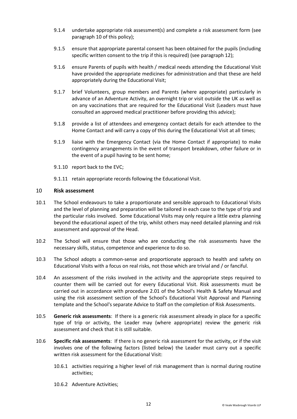- 9.1.4 undertake appropriate risk assessment(s) and complete a risk assessment form (see paragraph [10](#page-11-0) of this policy);
- 9.1.5 ensure that appropriate parental consent has been obtained for the pupils (including specific written consent to the trip if this is required) (see paragraph [12\)](#page-13-0);
- 9.1.6 ensure Parents of pupils with health / medical needs attending the Educational Visit have provided the appropriate medicines for administration and that these are held appropriately during the Educational Visit;
- 9.1.7 brief Volunteers, group members and Parents (where appropriate) particularly in advance of an Adventure Activity, an overnight trip or visit outside the UK as well as on any vaccinations that are required for the Educational Visit (Leaders must have consulted an approved medical practitioner before providing this advice);
- 9.1.8 provide a list of attendees and emergency contact details for each attendee to the Home Contact and will carry a copy of this during the Educational Visit at all times;
- 9.1.9 liaise with the Emergency Contact (via the Home Contact if appropriate) to make contingency arrangements in the event of transport breakdown, other failure or in the event of a pupil having to be sent home;
- 9.1.10 report back to the EVC;
- 9.1.11 retain appropriate records following the Educational Visit.

#### <span id="page-11-0"></span>10 **Risk assessment**

- 10.1 The School endeavours to take a proportionate and sensible approach to Educational Visits and the level of planning and preparation will be tailored in each case to the type of trip and the particular risks involved. Some Educational Visits may only require a little extra planning beyond the educational aspect of the trip, whilst others may need detailed planning and risk assessment and approval of the Head.
- 10.2 The School will ensure that those who are conducting the risk assessments have the necessary skills, status, competence and experience to do so.
- 10.3 The School adopts a common-sense and proportionate approach to health and safety on Educational Visits with a focus on real risks, not those which are trivial and / or fanciful.
- 10.4 An assessment of the risks involved in the activity and the appropriate steps required to counter them will be carried out for every Educational Visit. Risk assessments must be carried out in accordance with procedure 2.01 of the School's Health & Safety Manual and using the risk assessment section of the School's Educational Visit Approval and Planning template and the School's separate Advice to Staff on the completion of Risk Assessments.
- 10.5 **Generic risk assessments**: If there is a generic risk assessment already in place for a specific type of trip or activity, the Leader may (where appropriate) review the generic risk assessment and check that it is still suitable.
- 10.6 **Specific risk assessments**: If there is no generic risk assessment for the activity, or if the visit involves one of the following factors (listed below) the Leader must carry out a specific written risk assessment for the Educational Visit:
	- 10.6.1 activities requiring a higher level of risk management than is normal during routine activities;
	- 10.6.2 Adventure Activities;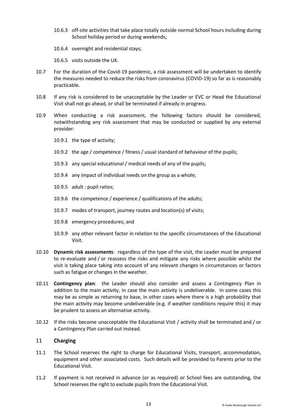- 10.6.3 off-site activities that take place totally outside normal School hours including during School holiday period or during weekends;
- 10.6.4 overnight and residential stays;
- 10.6.5 visits outside the UK.
- 10.7 For the duration of the Covid-19 pandemic, a risk assessment will be undertaken to identify the measures needed to reduce the risks from coronavirus (COVID-19) so far as is reasonably practicable.
- 10.8 If any risk is considered to be unacceptable by the Leader or EVC or Head the Educational Visit shall not go ahead, or shall be terminated if already in progress.
- 10.9 When conducting a risk assessment, the following factors should be considered, notwithstanding any risk assessment that may be conducted or supplied by any external provider:
	- 10.9.1 the type of activity;
	- 10.9.2 the age / competence / fitness / usual standard of behaviour of the pupils;
	- 10.9.3 any special educational / medical needs of any of the pupils;
	- 10.9.4 any impact of individual needs on the group as a whole;
	- 10.9.5 adult : pupil ratios;
	- 10.9.6 the competence / experience / qualifications of the adults;
	- 10.9.7 modes of transport, journey routes and location(s) of visits;
	- 10.9.8 emergency procedures; and
	- 10.9.9 any other relevant factor in relation to the specific circumstances of the Educational Visit.
- 10.10 **Dynamic risk assessments**: regardless of the type of the visit, the Leader must be prepared to re-evaluate and / or reassess the risks and mitigate any risks where possible whilst the visit is taking place taking into account of any relevant changes in circumstances or factors such as fatigue or changes in the weather.
- 10.11 **Contingency plan**: the Leader should also consider and assess a Contingency Plan in addition to the main activity, in case the main activity is undeliverable. In some cases this may be as simple as returning to base, in other cases where there is a high probability that the main activity may become undeliverable (e.g. if weather conditions require this) it may be prudent to assess an alternative activity.
- 10.12 If the risks become unacceptable the Educational Visit / activity shall be terminated and / or a Contingency Plan carried out instead.

# <span id="page-12-0"></span>11 **Charging**

- 11.1 The School reserves the right to charge for Educational Visits, transport, accommodation, equipment and other associated costs. Such details will be provided to Parents prior to the Educational Visit.
- 11.2 If payment is not received in advance (or as required) or School fees are outstanding, the School reserves the right to exclude pupils from the Educational Visit.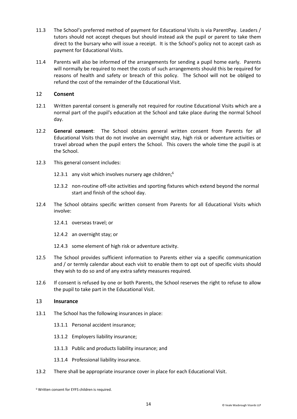- 11.3 The School's preferred method of payment for Educational Visits is via ParentPay. Leaders / tutors should not accept cheques but should instead ask the pupil or parent to take them direct to the bursary who will issue a receipt. It is the School's policy not to accept cash as payment for Educational Visits.
- 11.4 Parents will also be informed of the arrangements for sending a pupil home early. Parents will normally be required to meet the costs of such arrangements should this be required for reasons of health and safety or breach of this policy. The School will not be obliged to refund the cost of the remainder of the Educational Visit.

### <span id="page-13-0"></span>12 **Consent**

- 12.1 Written parental consent is generally not required for routine Educational Visits which are a normal part of the pupil's education at the School and take place during the normal School day.
- 12.2 **General consent**: The School obtains general written consent from Parents for all Educational Visits that do not involve an overnight stay, high risk or adventure activities or travel abroad when the pupil enters the School. This covers the whole time the pupil is at the School.
- 12.3 This general consent includes:
	- 12.3.1 any visit which involves nursery age children; $<sup>6</sup>$ </sup>
	- 12.3.2 non-routine off-site activities and sporting fixtures which extend beyond the normal start and finish of the school day.
- 12.4 The School obtains specific written consent from Parents for all Educational Visits which involve:
	- 12.4.1 overseas travel; or
	- 12.4.2 an overnight stay; or
	- 12.4.3 some element of high risk or adventure activity.
- 12.5 The School provides sufficient information to Parents either via a specific communication and / or termly calendar about each visit to enable them to opt out of specific visits should they wish to do so and of any extra safety measures required.
- 12.6 If consent is refused by one or both Parents, the School reserves the right to refuse to allow the pupil to take part in the Educational Visit.

#### <span id="page-13-1"></span>13 **Insurance**

- 13.1 The School has the following insurances in place:
	- 13.1.1 Personal accident insurance;
	- 13.1.2 Employers liability insurance;
	- 13.1.3 Public and products liability insurance; and
	- 13.1.4 Professional liability insurance.
- 13.2 There shall be appropriate insurance cover in place for each Educational Visit.

<sup>6</sup> Written consent for EYFS children is required.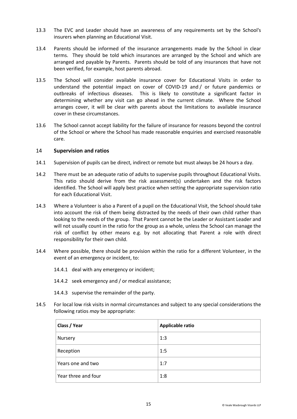- 13.3 The EVC and Leader should have an awareness of any requirements set by the School's insurers when planning an Educational Visit.
- 13.4 Parents should be informed of the insurance arrangements made by the School in clear terms. They should be told which insurances are arranged by the School and which are arranged and payable by Parents. Parents should be told of any insurances that have not been verified, for example, host parents abroad.
- 13.5 The School will consider available insurance cover for Educational Visits in order to understand the potential impact on cover of COVID-19 and / or future pandemics or outbreaks of infectious diseases. This is likely to constitute a significant factor in determining whether any visit can go ahead in the current climate. Where the School arranges cover, it will be clear with parents about the limitations to available insurance cover in these circumstances.
- 13.6 The School cannot accept liability for the failure of insurance for reasons beyond the control of the School or where the School has made reasonable enquiries and exercised reasonable care.

### <span id="page-14-0"></span>14 **Supervision and ratios**

- 14.1 Supervision of pupils can be direct, indirect or remote but must always be 24 hours a day.
- 14.2 There must be an adequate ratio of adults to supervise pupils throughout Educational Visits. This ratio should derive from the risk assessment(s) undertaken and the risk factors identified. The School will apply best practice when setting the appropriate supervision ratio for each Educational Visit.
- 14.3 Where a Volunteer is also a Parent of a pupil on the Educational Visit, the School should take into account the risk of them being distracted by the needs of their own child rather than looking to the needs of the group. That Parent cannot be the Leader or Assistant Leader and will not usually count in the ratio for the group as a whole, unless the School can manage the risk of conflict by other means e.g. by not allocating that Parent a role with direct responsibility for their own child.
- 14.4 Where possible, there should be provision within the ratio for a different Volunteer, in the event of an emergency or incident, to:
	- 14.4.1 deal with any emergency or incident;
	- 14.4.2 seek emergency and / or medical assistance;
	- 14.4.3 supervise the remainder of the party.
- 14.5 For local low risk visits in normal circumstances and subject to any special considerations the following ratios *may* be appropriate:

| Class / Year        | Applicable ratio |
|---------------------|------------------|
| Nursery             | 1:3              |
| Reception           | 1:5              |
| Years one and two   | 1:7              |
| Year three and four | 1:8              |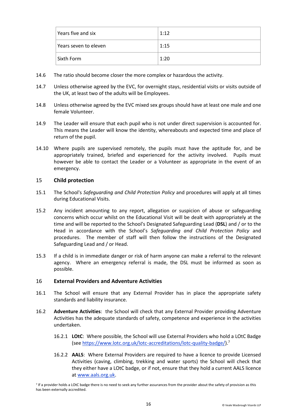| Years five and six    | 1:12 |
|-----------------------|------|
| Years seven to eleven | 1:15 |
| Sixth Form            | 1:20 |

- 14.6 The ratio should become closer the more complex or hazardous the activity.
- 14.7 Unless otherwise agreed by the EVC, for overnight stays, residential visits or visits outside of the UK, at least two of the adults will be Employees.
- 14.8 Unless otherwise agreed by the EVC mixed sex groups should have at least one male and one female Volunteer.
- 14.9 The Leader will ensure that each pupil who is not under direct supervision is accounted for. This means the Leader will know the identity, whereabouts and expected time and place of return of the pupil.
- 14.10 Where pupils are supervised remotely, the pupils must have the aptitude for, and be appropriately trained, briefed and experienced for the activity involved. Pupils must however be able to contact the Leader or a Volunteer as appropriate in the event of an emergency.

# <span id="page-15-0"></span>15 **Child protection**

- 15.1 The School's *Safeguarding and Child Protection Policy* and procedures will apply at all times during Educational Visits.
- 15.2 Any incident amounting to any report, allegation or suspicion of abuse or safeguarding concerns which occur whilst on the Educational Visit will be dealt with appropriately at the time and will be reported to the School's Designated Safeguarding Lead (**DSL**) and / or to the Head in accordance with the School's *Safeguarding and Child Protection Policy* and procedures. The member of staff will then follow the instructions of the Designated Safeguarding Lead and / or Head.
- 15.3 If a child is in immediate danger or risk of harm anyone can make a referral to the relevant agency. Where an emergency referral is made, the DSL must be informed as soon as possible.

#### <span id="page-15-1"></span>16 **External Providers and Adventure Activities**

- 16.1 The School will ensure that any External Provider has in place the appropriate safety standards and liability insurance.
- 16.2 **Adventure Activities**: the School will check that any External Provider providing Adventure Activities has the adequate standards of safety, competence and experience in the activities undertaken.
	- 16.2.1 **LOtC**: Where possible, the School will use External Providers who hold a LOtC Badge (see [https://www.lotc.org.uk/lotc-accreditations/lotc-quality-badge/\)](https://www.lotc.org.uk/lotc-accreditations/lotc-quality-badge/).<sup>7</sup>
	- 16.2.2 **AALS**: Where External Providers are required to have a licence to provide Licensed Activities (caving, climbing, trekking and water sports) the School will check that they either have a LOtC badge, or if not, ensure that they hold a current AALS licence a[t www.aals.org.uk.](http://www.aals.org.uk/)

<sup>&</sup>lt;sup>7</sup> If a provider holds a LOtC badge there is no need to seek any further assurances from the provider about the safety of provision as this has been externally accredited.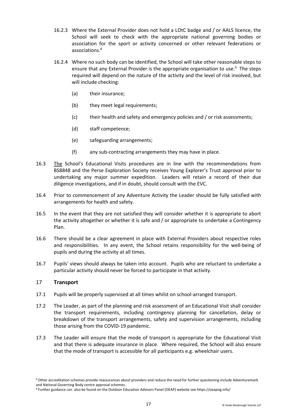- 16.2.3 Where the External Provider does not hold a LOtC badge and / or AALS licence, the School will seek to check with the appropriate national governing bodies or association for the sport or activity concerned or other relevant federations or associations. 8
- 16.2.4 Where no such body can be identified, the School will take other reasonable steps to ensure that any External Provider is the appropriate organisation to use. <sup>9</sup> The steps required will depend on the nature of the activity and the level of risk involved, but will include checking:
	- (a) their insurance;
	- (b) they meet legal requirements;
	- (c) their health and safety and emergency policies and / or risk assessments;
	- (d) staff competence;
	- (e) safeguarding arrangements;
	- (f) any sub-contracting arrangements they may have in place.
- 16.3 <The> School's Educational Visits procedures are in line with the recommendations from BS8848 and the Perse Exploration Society receives Young Explorer's Trust approval prior to undertaking any major summer expedition. Leaders will retain a record of their due diligence investigations, and if in doubt, should consult with the EVC.
- 16.4 Prior to commencement of any Adventure Activity the Leader should be fully satisfied with arrangements for health and safety.
- 16.5 In the event that they are not satisfied they will consider whether it is appropriate to abort the activity altogether or whether it is safe and / or appropriate to undertake a Contingency Plan.
- 16.6 There should be a clear agreement in place with External Providers about respective roles and responsibilities. In any event, the School retains responsibility for the well-being of pupils and during the activity at all times.
- 16.7 Pupils' views should always be taken into account. Pupils who are reluctant to undertake a particular activity should never be forced to participate in that activity.

#### <span id="page-16-0"></span>17 **Transport**

- 17.1 Pupils will be properly supervised at all times whilst on school-arranged transport.
- 17.2 The Leader, as part of the planning and risk assessment of an Educational Visit shall consider the transport requirements, including contingency planning for cancellation, delay or breakdown of the transport arrangements, safety and supervision arrangements, including those arising from the COVID-19 pandemic.
- 17.3 The Leader will ensure that the mode of transport is appropriate for the Educational Visit and that there is adequate insurance in place. Where required, the School will also ensure that the mode of transport is accessible for all participants e.g. wheelchair users.

<sup>&</sup>lt;sup>8</sup> Other accreditation schemes provide reassurances about providers and reduce the need for further questioning include Adventuremark and National Governing Body centre approval schemes.

<sup>9</sup> Further guidance can also be found on the Outdoor Education Advisers Panel (OEAP) website see https://oeapng.info/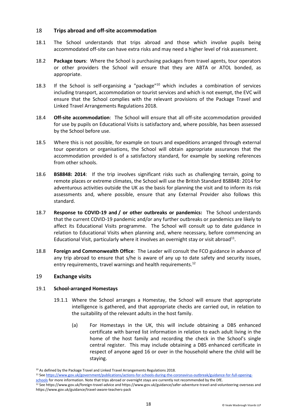# <span id="page-17-0"></span>18 **Trips abroad and off-site accommodation**

- 18.1 The School understands that trips abroad and those which involve pupils being accommodated off-site can have extra risks and may need a higher level of risk assessment.
- 18.2 **Package tours**: Where the School is purchasing packages from travel agents, tour operators or other providers the School will ensure that they are ABTA or ATOL bonded, as appropriate.
- 18.3 If the School is self-organising a "package"<sup>10</sup> which includes a combination of services including transport, accommodation or tourist services and which is not exempt, the EVC will ensure that the School complies with the relevant provisions of the Package Travel and Linked Travel Arrangements Regulations 2018.
- 18.4 **Off-site accommodation**: The School will ensure that all off-site accommodation provided for use by pupils on Educational Visits is satisfactory and, where possible, has been assessed by the School before use.
- 18.5 Where this is not possible, for example on tours and expeditions arranged through external tour operators or organisations, the School will obtain appropriate assurances that the accommodation provided is of a satisfactory standard, for example by seeking references from other schools.
- 18.6 **BS8848: 2014**: If the trip involves significant risks such as challenging terrain, going to remote places or extreme climates, the School will use the British Standard BS8848: 2014 for adventurous activities outside the UK as the basis for planning the visit and to inform its risk assessments and, where possible, ensure that any External Provider also follows this standard.
- 18.7 **Response to COVID-19 and / or other outbreaks or pandemics:** The School understands that the current COVID-19 pandemic and/or any further outbreaks or pandemics are likely to affect its Educational Visits programme. The School will consult up to date guidance in relation to Educational Visits when planning and, where necessary, before commencing an Educational Visit, particularly where it involves an overnight stay or visit abroad<sup>11</sup>.
- 18.8 **Foreign and Commonwealth Office**: The Leader will consult the FCO guidance in advance of any trip abroad to ensure that s/he is aware of any up to date safety and security issues, entry requirements, travel warnings and health requirements.<sup>12</sup>

#### <span id="page-17-1"></span>19 **Exchange visits**

#### 19.1 **School-arranged Homestays**

- 19.1.1 Where the School arranges a Homestay, the School will ensure that appropriate intelligence is gathered, and that appropriate checks are carried out, in relation to the suitability of the relevant adults in the host family.
	- (a) For Homestays in the UK, this will include obtaining a DBS enhanced certificate with barred list information in relation to each adult living in the home of the host family and recording the check in the School's single central register. This may include obtaining a DBS enhanced certificate in respect of anyone aged 16 or over in the household where the child will be staying.

<sup>11</sup> Se[e https://www.gov.uk/government/publications/actions-for-schools-during-the-coronavirus-outbreak/guidance-for-full-opening](https://www.gov.uk/government/publications/actions-for-schools-during-the-coronavirus-outbreak/guidance-for-full-opening-schools)[schools](https://www.gov.uk/government/publications/actions-for-schools-during-the-coronavirus-outbreak/guidance-for-full-opening-schools) for more information. Note that trips abroad or overnight stays are currently not recommended by the DfE.

<sup>&</sup>lt;sup>10</sup> As defined by the Package Travel and Linked Travel Arrangements Regulations 2018.

<sup>12</sup> See https://www.gov.uk/foreign-travel-advice and https://www.gov.uk/guidance/safer-adventure-travel-and-volunteering-overseas and https://www.gov.uk/guidance/travel-aware-teachers-pack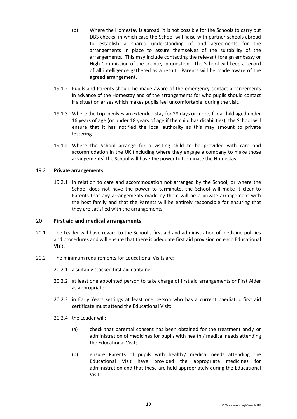- (b) Where the Homestay is abroad, it is not possible for the Schools to carry out DBS checks, in which case the School will liaise with partner schools abroad to establish a shared understanding of and agreements for the arrangements in place to assure themselves of the suitability of the arrangements. This may include contacting the relevant foreign embassy or High Commission of the country in question. The School will keep a record of all intelligence gathered as a result. Parents will be made aware of the agreed arrangement.
- 19.1.2 Pupils and Parents should be made aware of the emergency contact arrangements in advance of the Homestay and of the arrangements for who pupils should contact if a situation arises which makes pupils feel uncomfortable, during the visit.
- 19.1.3 Where the trip involves an extended stay for 28 days or more, for a child aged under 16 years of age (or under 18 years of age if the child has disabilities), the School will ensure that it has notified the local authority as this may amount to private fostering.
- 19.1.4 Where the School arrange for a visiting child to be provided with care and accommodation in the UK (including where they engage a company to make those arrangements) the School will have the power to terminate the Homestay.

#### 19.2 **Private arrangements**

19.2.1 In relation to care and accommodation not arranged by the School, or where the School does not have the power to terminate, the School will make it clear to Parents that any arrangements made by them will be a private arrangement with the host family and that the Parents will be entirely responsible for ensuring that they are satisfied with the arrangements.

#### <span id="page-18-0"></span>20 **First aid and medical arrangements**

- 20.1 The Leader will have regard to the School's first aid and administration of medicine policies and procedures and will ensure that there is adequate first aid provision on each Educational Visit.
- 20.2 The minimum requirements for Educational Visits are:
	- 20.2.1 a suitably stocked first aid container;
	- 20.2.2 at least one appointed person to take charge of first aid arrangements or First Aider as appropriate;
	- 20.2.3 in Early Years settings at least one person who has a current paediatric first aid certificate must attend the Educational Visit;
	- 20.2.4 the Leader will:
		- (a) check that parental consent has been obtained for the treatment and / or administration of medicines for pupils with health / medical needs attending the Educational Visit;
		- (b) ensure Parents of pupils with health / medical needs attending the Educational Visit have provided the appropriate medicines for administration and that these are held appropriately during the Educational Visit.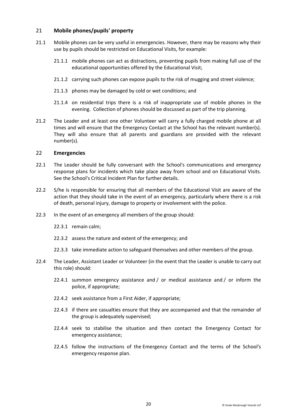# <span id="page-19-0"></span>21 **Mobile phones/pupils' property**

- 21.1 Mobile phones can be very useful in emergencies. However, there may be reasons why their use by pupils should be restricted on Educational Visits, for example:
	- 21.1.1 mobile phones can act as distractions, preventing pupils from making full use of the educational opportunities offered by the Educational Visit;
	- 21.1.2 carrying such phones can expose pupils to the risk of mugging and street violence;
	- 21.1.3 phones may be damaged by cold or wet conditions; and
	- 21.1.4 on residential trips there is a risk of inappropriate use of mobile phones in the evening. Collection of phones should be discussed as part of the trip planning.
- 21.2 The Leader and at least one other Volunteer will carry a fully charged mobile phone at all times and will ensure that the Emergency Contact at the School has the relevant number(s). They will also ensure that all parents and guardians are provided with the relevant number(s).

#### <span id="page-19-1"></span>22 **Emergencies**

- 22.1 The Leader should be fully conversant with the School's communications and emergency response plans for incidents which take place away from school and on Educational Visits. See the School's Critical Incident Plan for further details.
- 22.2 S/he is responsible for ensuring that all members of the Educational Visit are aware of the action that they should take in the event of an emergency, particularly where there is a risk of death, personal injury, damage to property or involvement with the police.
- 22.3 In the event of an emergency all members of the group should:
	- 22.3.1 remain calm;
	- 22.3.2 assess the nature and extent of the emergency; and
	- 22.3.3 take immediate action to safeguard themselves and other members of the group.
- 22.4 The Leader, Assistant Leader or Volunteer (in the event that the Leader is unable to carry out this role) should:
	- 22.4.1 summon emergency assistance and / or medical assistance and / or inform the police, if appropriate;
	- 22.4.2 seek assistance from a First Aider, if appropriate;
	- 22.4.3 if there are casualties ensure that they are accompanied and that the remainder of the group is adequately supervised;
	- 22.4.4 seek to stabilise the situation and then contact the Emergency Contact for emergency assistance;
	- 22.4.5 follow the instructions of the Emergency Contact and the terms of the School's emergency response plan.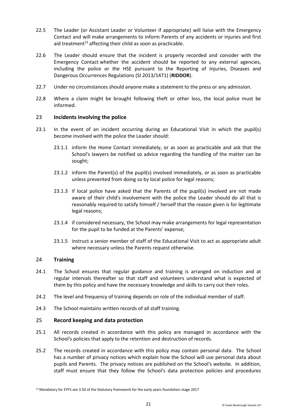- 22.5 The Leader (or Assistant Leader or Volunteer if appropriate) will liaise with the Emergency Contact and will make arrangements to inform Parents of any accidents or injuries and first aid treatment<sup>13</sup> affecting their child as soon as practicable.
- 22.6 The Leader should ensure that the incident is properly recorded and consider with the Emergency Contact whether the accident should be reported to any external agencies, including the police or the HSE pursuant to the Reporting of Injuries, Diseases and Dangerous Occurrences Regulations (SI 2013/1471) (**RIDDOR**).
- 22.7 Under no circumstances should anyone make a statement to the press or any admission.
- 22.8 Where a claim might be brought following theft or other loss, the local police must be informed.

# <span id="page-20-0"></span>23 **Incidents involving the police**

- 23.1 In the event of an incident occurring during an Educational Visit in which the pupil(s) become involved with the police the Leader should:
	- 23.1.1 inform the Home Contact immediately, or as soon as practicable and ask that the School's lawyers be notified so advice regarding the handling of the matter can be sought;
	- 23.1.2 inform the Parent(s) of the pupil(s) involved immediately, or as soon as practicable unless prevented from doing so by local police for legal reasons;
	- 23.1.3 if local police have asked that the Parents of the pupil(s) involved are not made aware of their child's involvement with the police the Leader should do all that is reasonably required to satisfy himself / herself that the reason given is for legitimate legal reasons;
	- 23.1.4 if considered necessary, the School may make arrangements for legal representation for the pupil to be funded at the Parents' expense;
	- 23.1.5 instruct a senior member of staff of the Educational Visit to act as appropriate adult where necessary unless the Parents request otherwise.

#### <span id="page-20-1"></span>24 **Training**

- 24.1 The School ensures that regular guidance and training is arranged on induction and at regular intervals thereafter so that staff and volunteers understand what is expected of them by this policy and have the necessary knowledge and skills to carry out their roles.
- 24.2 The level and frequency of training depends on role of the individual member of staff.
- 24.3 The School maintains written records of all staff training.

#### <span id="page-20-2"></span>25 **Record keeping and data protection**

- 25.1 All records created in accordance with this policy are managed in accordance with the School's policies that apply to the retention and destruction of records.
- 25.2 The records created in accordance with this policy may contain personal data. The School has a number of privacy notices which explain how the School will use personal data about pupils and Parents. The privacy notices are published on the School's website. In addition, staff must ensure that they follow the School's data protection policies and procedures

<sup>&</sup>lt;sup>13</sup> Mandatory for EYFS see 3.50 of the Statutory framework for the early years foundation stage 2017